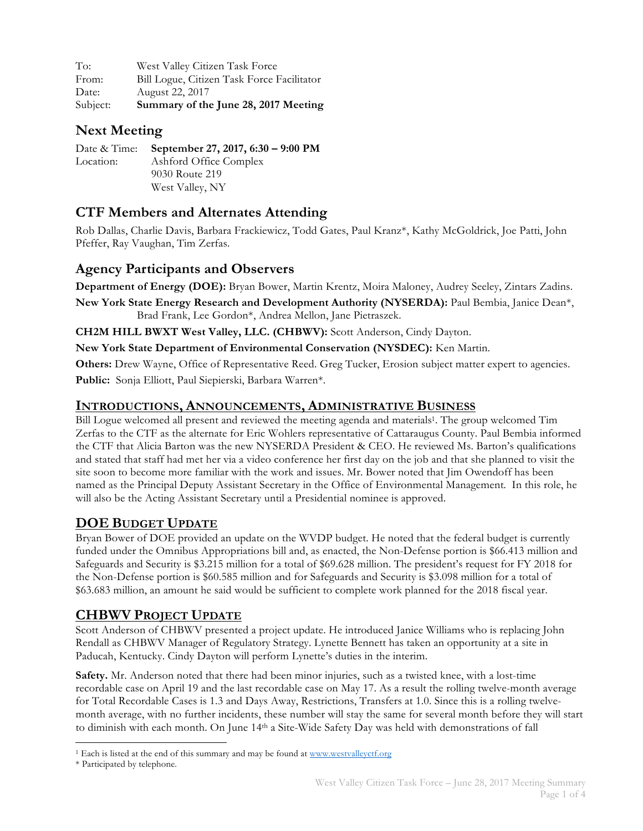| To:      | West Valley Citizen Task Force             |
|----------|--------------------------------------------|
| From:    | Bill Logue, Citizen Task Force Facilitator |
| Date:    | August 22, 2017                            |
| Subject: | Summary of the June 28, 2017 Meeting       |

## **Next Meeting**

|           | Date & Time: September 27, 2017, 6:30 – 9:00 PM |
|-----------|-------------------------------------------------|
| Location: | Ashford Office Complex                          |
|           | 9030 Route 219                                  |
|           | West Valley, NY                                 |

# **CTF Members and Alternates Attending**

Rob Dallas, Charlie Davis, Barbara Frackiewicz, Todd Gates, Paul Kranz\*, Kathy McGoldrick, Joe Patti, John Pfeffer, Ray Vaughan, Tim Zerfas.

## **Agency Participants and Observers**

**Department of Energy (DOE):** Bryan Bower, Martin Krentz, Moira Maloney, Audrey Seeley, Zintars Zadins.

**New York State Energy Research and Development Authority (NYSERDA):** Paul Bembia, Janice Dean\*, Brad Frank, Lee Gordon\*, Andrea Mellon, Jane Pietraszek.

**CH2M HILL BWXT West Valley, LLC. (CHBWV):** Scott Anderson, Cindy Dayton.

**New York State Department of Environmental Conservation (NYSDEC):** Ken Martin.

**Others:** Drew Wayne, Office of Representative Reed. Greg Tucker, Erosion subject matter expert to agencies.

**Public:** Sonja Elliott, Paul Siepierski, Barbara Warren\*.

#### **INTRODUCTIONS, ANNOUNCEMENTS, ADMINISTRATIVE BUSINESS**

Bill Logue welcomed all present and reviewed the meeting agenda and materials1. The group welcomed Tim Zerfas to the CTF as the alternate for Eric Wohlers representative of Cattaraugus County. Paul Bembia informed the CTF that Alicia Barton was the new NYSERDA President & CEO. He reviewed Ms. Barton's qualifications and stated that staff had met her via a video conference her first day on the job and that she planned to visit the site soon to become more familiar with the work and issues. Mr. Bower noted that Jim Owendoff has been named as the Principal Deputy Assistant Secretary in the Office of Environmental Management. In this role, he will also be the Acting Assistant Secretary until a Presidential nominee is approved.

### **DOE BUDGET UPDATE**

Bryan Bower of DOE provided an update on the WVDP budget. He noted that the federal budget is currently funded under the Omnibus Appropriations bill and, as enacted, the Non-Defense portion is \$66.413 million and Safeguards and Security is \$3.215 million for a total of \$69.628 million. The president's request for FY 2018 for the Non-Defense portion is \$60.585 million and for Safeguards and Security is \$3.098 million for a total of \$63.683 million, an amount he said would be sufficient to complete work planned for the 2018 fiscal year.

# **CHBWV PROJECT UPDATE**

Scott Anderson of CHBWV presented a project update. He introduced Janice Williams who is replacing John Rendall as CHBWV Manager of Regulatory Strategy. Lynette Bennett has taken an opportunity at a site in Paducah, Kentucky. Cindy Dayton will perform Lynette's duties in the interim.

**Safety.** Mr. Anderson noted that there had been minor injuries, such as a twisted knee, with a lost-time recordable case on April 19 and the last recordable case on May 17. As a result the rolling twelve-month average for Total Recordable Cases is 1.3 and Days Away, Restrictions, Transfers at 1.0. Since this is a rolling twelvemonth average, with no further incidents, these number will stay the same for several month before they will start to diminish with each month. On June 14th a Site-Wide Safety Day was held with demonstrations of fall

 <sup>1</sup> Each is listed at the end of this summary and may be found at www.westvalleyctf.org

<sup>\*</sup> Participated by telephone.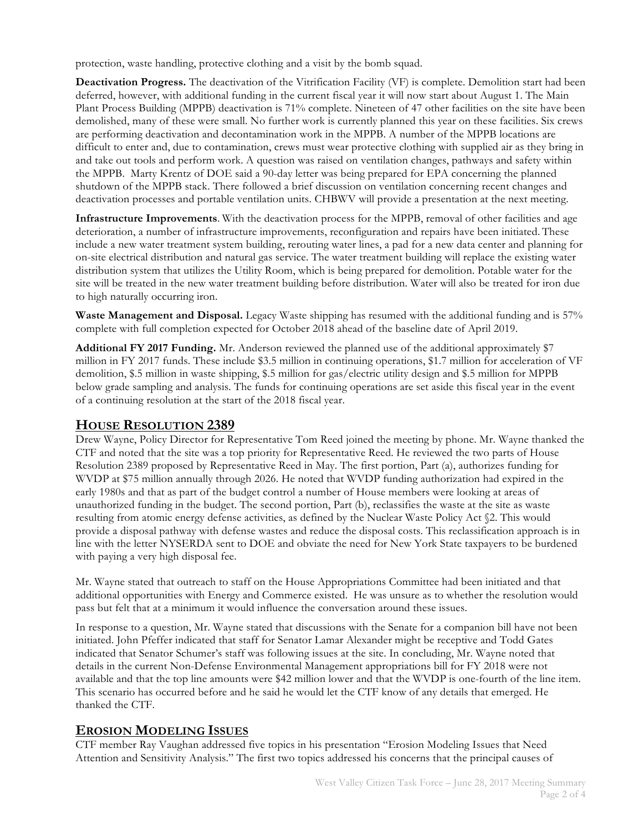protection, waste handling, protective clothing and a visit by the bomb squad.

**Deactivation Progress.** The deactivation of the Vitrification Facility (VF) is complete. Demolition start had been deferred, however, with additional funding in the current fiscal year it will now start about August 1. The Main Plant Process Building (MPPB) deactivation is 71% complete. Nineteen of 47 other facilities on the site have been demolished, many of these were small. No further work is currently planned this year on these facilities. Six crews are performing deactivation and decontamination work in the MPPB. A number of the MPPB locations are difficult to enter and, due to contamination, crews must wear protective clothing with supplied air as they bring in and take out tools and perform work. A question was raised on ventilation changes, pathways and safety within the MPPB. Marty Krentz of DOE said a 90-day letter was being prepared for EPA concerning the planned shutdown of the MPPB stack. There followed a brief discussion on ventilation concerning recent changes and deactivation processes and portable ventilation units. CHBWV will provide a presentation at the next meeting.

**Infrastructure Improvements**. With the deactivation process for the MPPB, removal of other facilities and age deterioration, a number of infrastructure improvements, reconfiguration and repairs have been initiated. These include a new water treatment system building, rerouting water lines, a pad for a new data center and planning for on-site electrical distribution and natural gas service. The water treatment building will replace the existing water distribution system that utilizes the Utility Room, which is being prepared for demolition. Potable water for the site will be treated in the new water treatment building before distribution. Water will also be treated for iron due to high naturally occurring iron.

**Waste Management and Disposal.** Legacy Waste shipping has resumed with the additional funding and is 57% complete with full completion expected for October 2018 ahead of the baseline date of April 2019.

**Additional FY 2017 Funding.** Mr. Anderson reviewed the planned use of the additional approximately \$7 million in FY 2017 funds. These include \$3.5 million in continuing operations, \$1.7 million for acceleration of VF demolition, \$.5 million in waste shipping, \$.5 million for gas/electric utility design and \$.5 million for MPPB below grade sampling and analysis. The funds for continuing operations are set aside this fiscal year in the event of a continuing resolution at the start of the 2018 fiscal year.

### **HOUSE RESOLUTION 2389**

Drew Wayne, Policy Director for Representative Tom Reed joined the meeting by phone. Mr. Wayne thanked the CTF and noted that the site was a top priority for Representative Reed. He reviewed the two parts of House Resolution 2389 proposed by Representative Reed in May. The first portion, Part (a), authorizes funding for WVDP at \$75 million annually through 2026. He noted that WVDP funding authorization had expired in the early 1980s and that as part of the budget control a number of House members were looking at areas of unauthorized funding in the budget. The second portion, Part (b), reclassifies the waste at the site as waste resulting from atomic energy defense activities, as defined by the Nuclear Waste Policy Act §2. This would provide a disposal pathway with defense wastes and reduce the disposal costs. This reclassification approach is in line with the letter NYSERDA sent to DOE and obviate the need for New York State taxpayers to be burdened with paying a very high disposal fee.

Mr. Wayne stated that outreach to staff on the House Appropriations Committee had been initiated and that additional opportunities with Energy and Commerce existed. He was unsure as to whether the resolution would pass but felt that at a minimum it would influence the conversation around these issues.

In response to a question, Mr. Wayne stated that discussions with the Senate for a companion bill have not been initiated. John Pfeffer indicated that staff for Senator Lamar Alexander might be receptive and Todd Gates indicated that Senator Schumer's staff was following issues at the site. In concluding, Mr. Wayne noted that details in the current Non-Defense Environmental Management appropriations bill for FY 2018 were not available and that the top line amounts were \$42 million lower and that the WVDP is one-fourth of the line item. This scenario has occurred before and he said he would let the CTF know of any details that emerged. He thanked the CTF.

### **EROSION MODELING ISSUES**

CTF member Ray Vaughan addressed five topics in his presentation "Erosion Modeling Issues that Need Attention and Sensitivity Analysis." The first two topics addressed his concerns that the principal causes of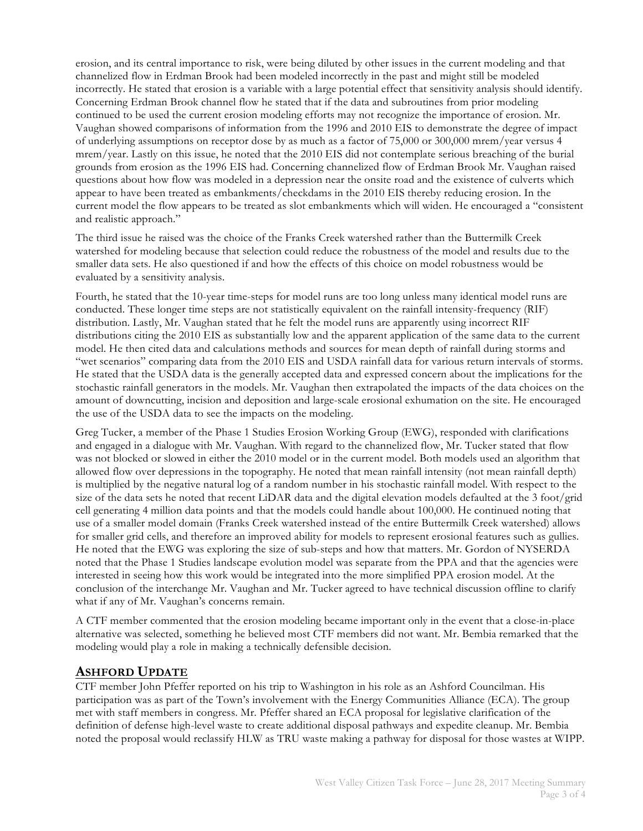erosion, and its central importance to risk, were being diluted by other issues in the current modeling and that channelized flow in Erdman Brook had been modeled incorrectly in the past and might still be modeled incorrectly. He stated that erosion is a variable with a large potential effect that sensitivity analysis should identify. Concerning Erdman Brook channel flow he stated that if the data and subroutines from prior modeling continued to be used the current erosion modeling efforts may not recognize the importance of erosion. Mr. Vaughan showed comparisons of information from the 1996 and 2010 EIS to demonstrate the degree of impact of underlying assumptions on receptor dose by as much as a factor of 75,000 or 300,000 mrem/year versus 4 mrem/year. Lastly on this issue, he noted that the 2010 EIS did not contemplate serious breaching of the burial grounds from erosion as the 1996 EIS had. Concerning channelized flow of Erdman Brook Mr. Vaughan raised questions about how flow was modeled in a depression near the onsite road and the existence of culverts which appear to have been treated as embankments/checkdams in the 2010 EIS thereby reducing erosion. In the current model the flow appears to be treated as slot embankments which will widen. He encouraged a "consistent and realistic approach."

The third issue he raised was the choice of the Franks Creek watershed rather than the Buttermilk Creek watershed for modeling because that selection could reduce the robustness of the model and results due to the smaller data sets. He also questioned if and how the effects of this choice on model robustness would be evaluated by a sensitivity analysis.

Fourth, he stated that the 10-year time-steps for model runs are too long unless many identical model runs are conducted. These longer time steps are not statistically equivalent on the rainfall intensity-frequency (RIF) distribution. Lastly, Mr. Vaughan stated that he felt the model runs are apparently using incorrect RIF distributions citing the 2010 EIS as substantially low and the apparent application of the same data to the current model. He then cited data and calculations methods and sources for mean depth of rainfall during storms and "wet scenarios" comparing data from the 2010 EIS and USDA rainfall data for various return intervals of storms. He stated that the USDA data is the generally accepted data and expressed concern about the implications for the stochastic rainfall generators in the models. Mr. Vaughan then extrapolated the impacts of the data choices on the amount of downcutting, incision and deposition and large-scale erosional exhumation on the site. He encouraged the use of the USDA data to see the impacts on the modeling.

Greg Tucker, a member of the Phase 1 Studies Erosion Working Group (EWG), responded with clarifications and engaged in a dialogue with Mr. Vaughan. With regard to the channelized flow, Mr. Tucker stated that flow was not blocked or slowed in either the 2010 model or in the current model. Both models used an algorithm that allowed flow over depressions in the topography. He noted that mean rainfall intensity (not mean rainfall depth) is multiplied by the negative natural log of a random number in his stochastic rainfall model. With respect to the size of the data sets he noted that recent LiDAR data and the digital elevation models defaulted at the 3 foot/grid cell generating 4 million data points and that the models could handle about 100,000. He continued noting that use of a smaller model domain (Franks Creek watershed instead of the entire Buttermilk Creek watershed) allows for smaller grid cells, and therefore an improved ability for models to represent erosional features such as gullies. He noted that the EWG was exploring the size of sub-steps and how that matters. Mr. Gordon of NYSERDA noted that the Phase 1 Studies landscape evolution model was separate from the PPA and that the agencies were interested in seeing how this work would be integrated into the more simplified PPA erosion model. At the conclusion of the interchange Mr. Vaughan and Mr. Tucker agreed to have technical discussion offline to clarify what if any of Mr. Vaughan's concerns remain.

A CTF member commented that the erosion modeling became important only in the event that a close-in-place alternative was selected, something he believed most CTF members did not want. Mr. Bembia remarked that the modeling would play a role in making a technically defensible decision.

### **ASHFORD UPDATE**

CTF member John Pfeffer reported on his trip to Washington in his role as an Ashford Councilman. His participation was as part of the Town's involvement with the Energy Communities Alliance (ECA). The group met with staff members in congress. Mr. Pfeffer shared an ECA proposal for legislative clarification of the definition of defense high-level waste to create additional disposal pathways and expedite cleanup. Mr. Bembia noted the proposal would reclassify HLW as TRU waste making a pathway for disposal for those wastes at WIPP.